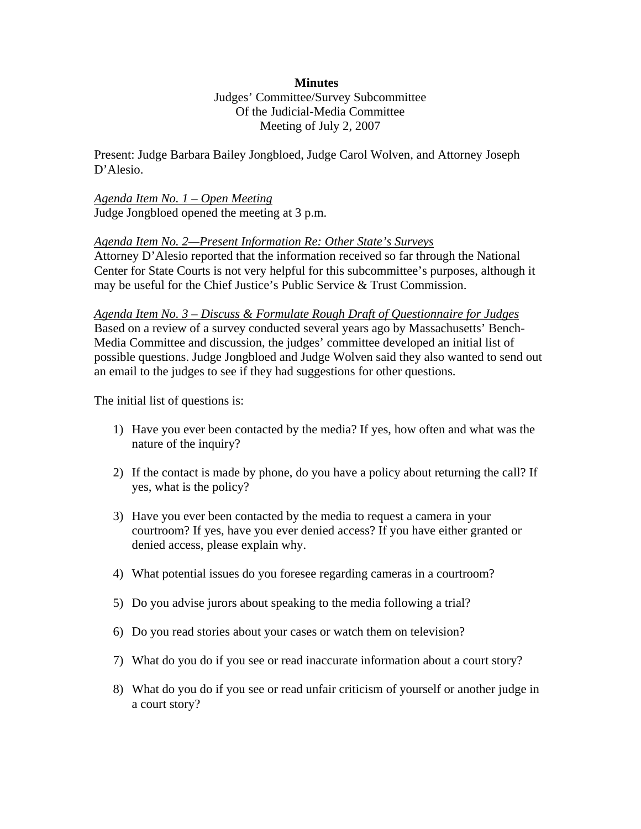## **Minutes**

Judges' Committee/Survey Subcommittee Of the Judicial-Media Committee Meeting of July 2, 2007

Present: Judge Barbara Bailey Jongbloed, Judge Carol Wolven, and Attorney Joseph D'Alesio.

## *Agenda Item No. 1 – Open Meeting*  Judge Jongbloed opened the meeting at 3 p.m.

## *Agenda Item No. 2—Present Information Re: Other State's Surveys*

Attorney D'Alesio reported that the information received so far through the National Center for State Courts is not very helpful for this subcommittee's purposes, although it may be useful for the Chief Justice's Public Service & Trust Commission.

*Agenda Item No. 3 – Discuss & Formulate Rough Draft of Questionnaire for Judges* Based on a review of a survey conducted several years ago by Massachusetts' Bench-Media Committee and discussion, the judges' committee developed an initial list of possible questions. Judge Jongbloed and Judge Wolven said they also wanted to send out an email to the judges to see if they had suggestions for other questions.

The initial list of questions is:

- 1) Have you ever been contacted by the media? If yes, how often and what was the nature of the inquiry?
- 2) If the contact is made by phone, do you have a policy about returning the call? If yes, what is the policy?
- 3) Have you ever been contacted by the media to request a camera in your courtroom? If yes, have you ever denied access? If you have either granted or denied access, please explain why.
- 4) What potential issues do you foresee regarding cameras in a courtroom?
- 5) Do you advise jurors about speaking to the media following a trial?
- 6) Do you read stories about your cases or watch them on television?
- 7) What do you do if you see or read inaccurate information about a court story?
- 8) What do you do if you see or read unfair criticism of yourself or another judge in a court story?